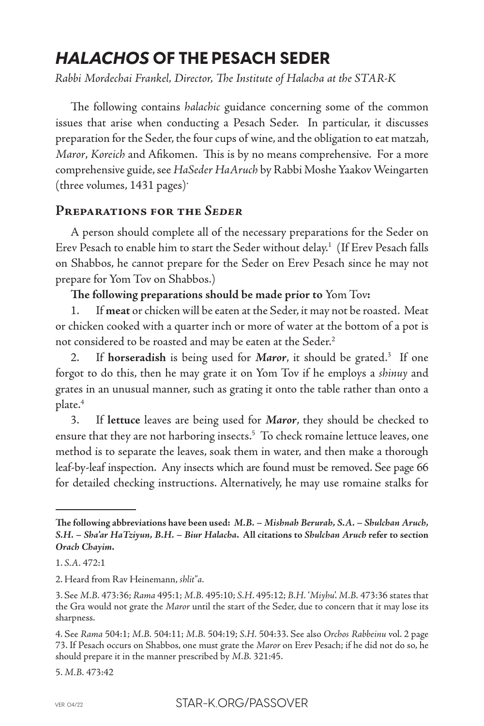# *HALACHOS* **OF THE PESACH SEDER**

*Rabbi Mordechai Frankel, Director, The Institute of Halacha at the STAR-K*

The following contains *halachic* guidance concerning some of the common issues that arise when conducting a Pesach Seder. In particular, it discusses preparation for the Seder, the four cups of wine, and the obligation to eat matzah, *Maror*, *Koreich* and Afikomen. This is by no means comprehensive. For a more comprehensive guide, see *HaSeder HaAruch* by Rabbi Moshe Yaakov Weingarten (three volumes, 1431 pages).

## **Preparations for the** *Seder*

A person should complete all of the necessary preparations for the Seder on Erev Pesach to enable him to start the Seder without delay.<sup>1</sup> (If Erev Pesach falls on Shabbos, he cannot prepare for the Seder on Erev Pesach since he may not prepare for Yom Tov on Shabbos.)

**The following preparations should be made prior to** Yom Tov**:**

1. If **meat** or chicken will be eaten at the Seder, it may not be roasted. Meat or chicken cooked with a quarter inch or more of water at the bottom of a pot is not considered to be roasted and may be eaten at the Seder.<sup>2</sup>

2. If horseradish is being used for Maror, it should be grated.<sup>3</sup> If one forgot to do this, then he may grate it on Yom Tov if he employs a *shinuy* and grates in an unusual manner, such as grating it onto the table rather than onto a plate.4

3. If **lettuce** leaves are being used for *Maror*, they should be checked to ensure that they are not harboring insects.<sup>5</sup> To check romaine lettuce leaves, one method is to separate the leaves, soak them in water, and then make a thorough leaf-by-leaf inspection. Any insects which are found must be removed. See page 66 for detailed checking instructions. Alternatively, he may use romaine stalks for

5. *M.B.* 473:42

**The following abbreviations have been used:** *M.B. – Mishnah Berurah, S.A. – Shulchan Aruch, S.H. – Sha'ar HaTziyun, B.H. – Biur Halacha***. All citations to** *Shulchan Aruch* **refer to section**  *Orach Chayim***.**

<sup>1.</sup> *S.A.* 472:1

<sup>2.</sup> Heard from Rav Heinemann, *shlit"a.*

<sup>3.</sup> See *M.B.* 473:36; *Rama* 495:1; *M.B.* 495:10; *S.H*. 495:12; *B.H.* '*Miyhu*'. *M.B.* 473:36 states that the Gra would not grate the *Maror* until the start of the Seder, due to concern that it may lose its sharpness.

<sup>4.</sup> See *Rama* 504:1; *M.B.* 504:11; *M.B.* 504:19; *S.H.* 504:33. See also *Orchos Rabbeinu* vol. 2 page 73. If Pesach occurs on Shabbos, one must grate the *Maror* on Erev Pesach; if he did not do so, he should prepare it in the manner prescribed by *M.B.* 321:45.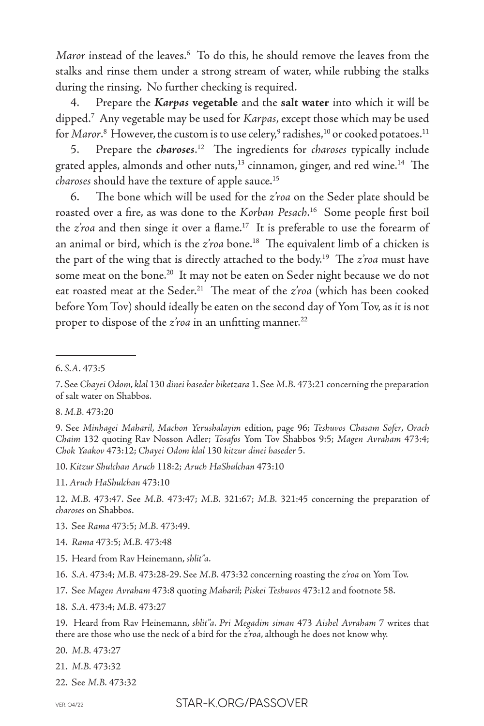*Maror* instead of the leaves.6 To do this, he should remove the leaves from the stalks and rinse them under a strong stream of water, while rubbing the stalks during the rinsing. No further checking is required.

4. Prepare the *Karpas* **vegetable** and the **salt water** into which it will be dipped.7 Any vegetable may be used for *Karpas*, except those which may be used for *Maror*.8 However, the custom is to use celery,<sup>9</sup> radishes,<sup>10</sup> or cooked potatoes.<sup>11</sup>

5. Prepare the *charoses*. 12 The ingredients for *charoses* typically include grated apples, almonds and other nuts,<sup>13</sup> cinnamon, ginger, and red wine.<sup>14</sup> The *charoses* should have the texture of apple sauce.15

6. The bone which will be used for the *z'roa* on the Seder plate should be roasted over a fire, as was done to the *Korban Pesach*. 16 Some people first boil the *z'roa* and then singe it over a flame.17 It is preferable to use the forearm of an animal or bird, which is the *z'roa* bone.<sup>18</sup> The equivalent limb of a chicken is the part of the wing that is directly attached to the body.19 The *z'roa* must have some meat on the bone.<sup>20</sup> It may not be eaten on Seder night because we do not eat roasted meat at the Seder.<sup>21</sup> The meat of the z'roa (which has been cooked before Yom Tov) should ideally be eaten on the second day of Yom Tov, as it is not proper to dispose of the *z'roa* in an unfitting manner.<sup>22</sup>

8. *M.B.* 473:20

10. *Kitzur Shulchan Aruch* 118:2; *Aruch HaShulchan* 473:10

12. *M.B.* 473:47. See *M.B.* 473:47; *M.B.* 321:67; *M.B.* 321:45 concerning the preparation of *charoses* on Shabbos.

- 13. See *Rama* 473:5; *M.B.* 473:49.
- 14. *Rama* 473:5; *M.B.* 473:48
- 15. Heard from Rav Heinemann, *shlit"a*.

- 17. See *Magen Avraham* 473:8 quoting *Maharil*; *Piskei Teshuvos* 473:12 and footnote 58.
- 18. *S.A.* 473:4; *M.B.* 473:27

19. Heard from Rav Heinemann, *shlit"a*. *Pri Megadim siman* 473 *Aishel Avraham* 7 writes that there are those who use the neck of a bird for the *z'roa*, although he does not know why.

20. *M.B.* 473:27

- 21. *M.B.* 473:32
- 22. See *M.B.* 473:32

<sup>6.</sup> *S.A.* 473:5

<sup>7.</sup> See *Chayei Odom*, *klal* 130 *dinei haseder biketzara* 1. See *M.B.* 473:21 concerning the preparation of salt water on Shabbos.

<sup>9.</sup> See *Minhagei Maharil*, *Machon Yerushalayim* edition, page 96; *Teshuvos Chasam Sofer*, *Orach Chaim* 132 quoting Rav Nosson Adler; *Tosafos* Yom Tov Shabbos 9:5; *Magen Avraham* 473:4; *Chok Yaakov* 473:12; *Chayei Odom klal* 130 *kitzur dinei haseder* 5.

<sup>11.</sup> *Aruch HaShulchan* 473:10

<sup>16.</sup> *S.A.* 473:4; *M.B.* 473:28-29. See *M.B.* 473:32 concerning roasting the *z'roa* on Yom Tov.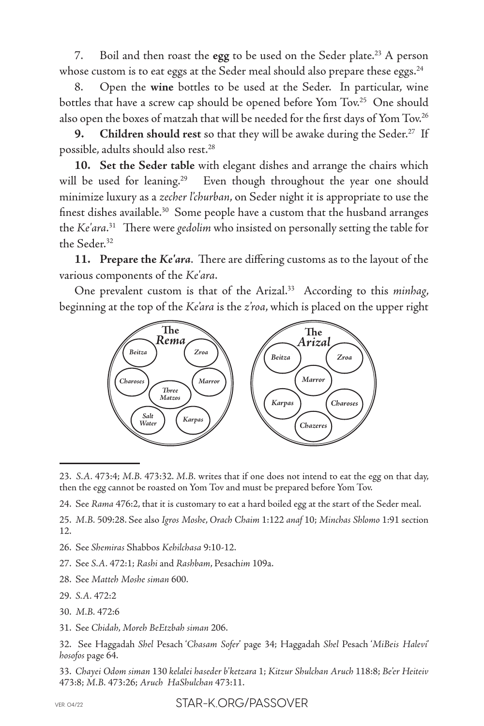7. Boil and then roast the egg to be used on the Seder plate.<sup>23</sup> A person whose custom is to eat eggs at the Seder meal should also prepare these eggs.<sup>24</sup>

8. Open the **wine** bottles to be used at the Seder. In particular, wine bottles that have a screw cap should be opened before Yom Tov.<sup>25</sup> One should also open the boxes of matzah that will be needed for the first days of Yom Tov.<sup>26</sup>

**9. Children should rest** so that they will be awake during the Seder.<sup>27</sup> If possible, adults should also rest.<sup>28</sup>

**10. Set the Seder table** with elegant dishes and arrange the chairs which will be used for leaning.<sup>29</sup> Even though throughout the year one should minimize luxury as a *zecher l'churban*, on Seder night it is appropriate to use the finest dishes available.<sup>30</sup> Some people have a custom that the husband arranges the *Ke'ara*. 31 There were *gedolim* who insisted on personally setting the table for the Seder.<sup>32</sup>

**11. Prepare the** *Ke'ara*. There are differing customs as to the layout of the various components of the *Ke'ara*.

One prevalent custom is that of the Arizal.<sup>33</sup> According to this *minhag*, beginning at the top of the *Ke'ara* is the *z'roa*, which is placed on the upper right



<sup>23.</sup> *S.A.* 473:4; *M.B.* 473:32. *M.B.* writes that if one does not intend to eat the egg on that day, then the egg cannot be roasted on Yom Tov and must be prepared before Yom Tov.

- 29. *S.A.* 472:2
- 30. *M.B.* 472:6
- 31. See *Chidah*, *Moreh BeEtzbah siman* 206.

32. See Haggadah *Shel* Pesach '*Chasam Sofer*' page 34; Haggadah *Shel* Pesach '*MiBeis Halevi*' *hosofos* page 64.

33. *Chayei Odom siman* 130 *kelalei haseder b'ketzara* 1; *Kitzur Shulchan Aruch* 118:8; *Be'er Heiteiv*  473:8; *M.B.* 473:26; *Aruch HaShulchan* 473:11.

<sup>24.</sup> See *Rama* 476:2, that it is customary to eat a hard boiled egg at the start of the Seder meal.

<sup>25.</sup> *M.B.* 509:28. See also *Igros Moshe*, *Orach Chaim* 1:122 *anaf* 10; *Minchas Shlomo* 1:91 section 12.

<sup>26.</sup> See *Shemiras* Shabbos *Kehilchasa* 9:10-12.

<sup>27.</sup> See *S.A.* 472:1; *Rashi* and *Rashbam*, Pesach*im* 109a.

<sup>28.</sup> See *Matteh Moshe siman* 600.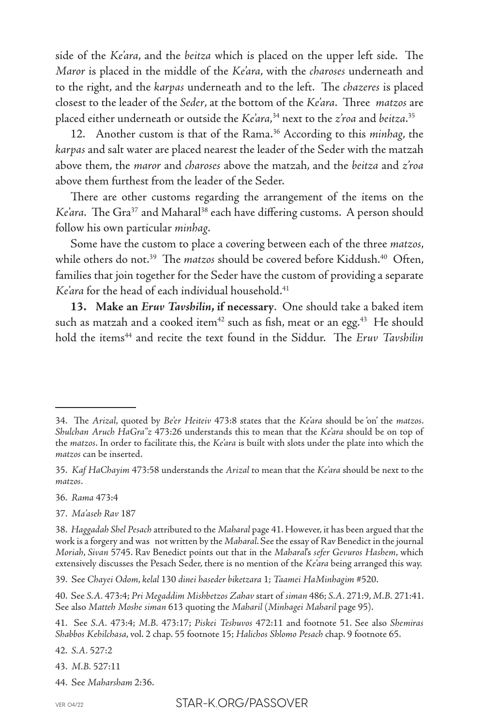side of the *Ke'ara*, and the *beitza* which is placed on the upper left side. The *Maror* is placed in the middle of the *Ke'ara*, with the *charoses* underneath and to the right, and the *karpas* underneath and to the left. The *chazeres* is placed closest to the leader of the *Seder*, at the bottom of the *Ke'ara*. Three *matzos* are placed either underneath or outside the *Ke'ara*, 34 next to the *z'roa* and *beitza*. 35

12. Another custom is that of the Rama.36 According to this *minhag*, the *karpas* and salt water are placed nearest the leader of the Seder with the matzah above them, the *maror* and *charoses* above the matzah, and the *beitza* and *z'roa* above them furthest from the leader of the Seder.

There are other customs regarding the arrangement of the items on the *Ke'ara*. The Gra<sup>37</sup> and Maharal<sup>38</sup> each have differing customs. A person should follow his own particular *minhag*.

Some have the custom to place a covering between each of the three *matzos*, while others do not.<sup>39</sup> The *matzos* should be covered before Kiddush.<sup>40</sup> Often, families that join together for the Seder have the custom of providing a separate Ke'ara for the head of each individual household.<sup>41</sup>

**13. Make an** *Eruv Tavshilin***, if necessary**. One should take a baked item such as matzah and a cooked item<sup>42</sup> such as fish, meat or an egg.<sup>43</sup> He should hold the items<sup>44</sup> and recite the text found in the Siddur. The *Eruv Tavshilin* 

- 36. *Rama* 473:4
- 37. *Ma'aseh Rav* 187

42. *S.A.* 527:2

43. *M.B.* 527:11

44. See *Maharsham* 2:36.

<sup>34.</sup> The *Arizal*, quoted by *Be'er Heiteiv* 473:8 states that the *Ke'ara* should be 'on' the *matzos*. *Shulchan Aruch HaGra"z* 473:26 understands this to mean that the *Ke'ara* should be on top of the *matzos*. In order to facilitate this, the *Ke'ara* is built with slots under the plate into which the *matzos* can be inserted.

<sup>35.</sup> *Kaf HaChayim* 473:58 understands the *Arizal* to mean that the *Ke'ara* should be next to the *matzos*.

<sup>38.</sup> *Haggadah Shel Pesach* attributed to the *Maharal* page 41. However, it has been argued that the work is a forgery and was not written by the *Maharal*. See the essay of Rav Benedict in the journal *Moriah*, *Sivan* 5745. Rav Benedict points out that in the *Maharal*'s *sefer Gevuros Hashem*, which extensively discusses the Pesach Seder, there is no mention of the *Ke'ara* being arranged this way.

<sup>39.</sup> See *Chayei Odom*, *kelal* 130 *dinei haseder biketzara* 1; *Taamei HaMinhagim* #520.

<sup>40.</sup> See *S.A.* 473:4; *Pri Megaddim Mishbetzos Zahav* start of *siman* 486; *S.A.* 271:9, *M.B.* 271:41. See also *Matteh Moshe siman* 613 quoting the *Maharil* (*Minhagei Maharil* page 95).

<sup>41.</sup> See *S.A.* 473:4; *M.B.* 473:17; *Piskei Teshuvos* 472:11 and footnote 51. See also *Shemiras Shabbos Kehilchasa*, vol. 2 chap. 55 footnote 15; *Halichos Shlomo Pesach* chap. 9 footnote 65.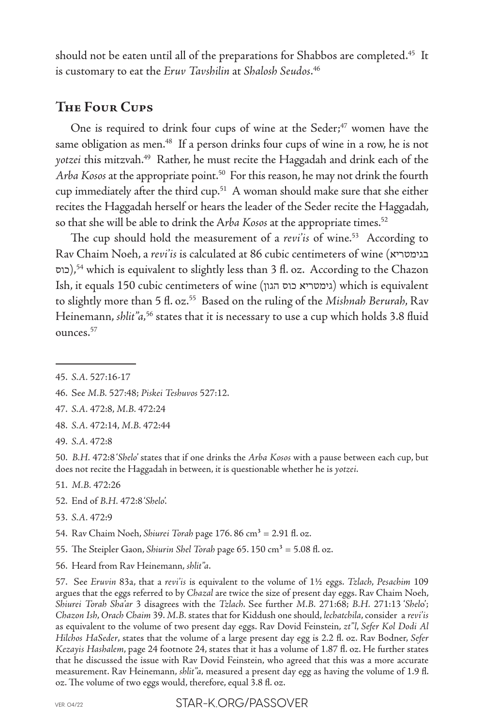should not be eaten until all of the preparations for Shabbos are completed.<sup>45</sup> It is customary to eat the *Eruv Tavshilin* at *Shalosh Seudos*. 46

# **The Four Cups**

One is required to drink four cups of wine at the Seder;<sup>47</sup> women have the same obligation as men.<sup>48</sup> If a person drinks four cups of wine in a row, he is not *yotzei* this mitzvah.49 Rather, he must recite the Haggadah and drink each of the *Arba Kosos* at the appropriate point.50 For this reason, he may not drink the fourth cup immediately after the third cup.51 A woman should make sure that she either recites the Haggadah herself or hears the leader of the Seder recite the Haggadah, so that she will be able to drink the Arba Kosos at the appropriate times.<sup>52</sup>

The cup should hold the measurement of a *revi'is* of wine.<sup>53</sup> According to Rav Chaim Noeh, a *revi'is* is calculated at 86 cubic centimeters of wine (בגימטריא כוס(,54 which is equivalent to slightly less than 3 fl. oz. According to the Chazon Ish, it equals 150 cubic centimeters of wine (הגון כוס גימטריא (which is equivalent to slightly more than 5 fl. oz.55 Based on the ruling of the *Mishnah Berurah*, Rav Heinemann, *shlit"a*,<sup>56</sup> states that it is necessary to use a cup which holds 3.8 fluid ounces.57

- 47. *S.A.* 472:8, *M.B.* 472:24
- 48. *S.A.* 472:14, *M.B.* 472:44
- 49. *S.A.* 472:8

50. *B.H.* 472:8 '*Shelo*' states that if one drinks the *Arba Kosos* with a pause between each cup, but does not recite the Haggadah in between, it is questionable whether he is *yotzei*.

- 51. *M.B.* 472:26
- 52. End of *B.H.* 472:8 '*Shelo*'.
- 53. *S.A.* 472:9
- 54. Rav Chaim Noeh, *Shiurei Torah* page 176. 86 cm<sup>3</sup> = 2.91 fl. oz.
- 55. The Steipler Gaon, *Shiurin Shel Torah* page 65. 150 cm<sup>3</sup> = 5.08 fl. oz.
- 56. Heard from Rav Heinemann, *shlit"a*.

57. See *Eruvin* 83a, that a *revi'is* is equivalent to the volume of 1½ eggs. *Tzlach*, *Pesachim* 109 argues that the eggs referred to by *Chazal* are twice the size of present day eggs. Rav Chaim Noeh, *Shiurei Torah Sha'ar* 3 disagrees with the *Tzlach*. See further *M.B.* 271:68; *B.H.* 271:13 '*Shel*o'; *Chazon Ish*, *Orach Chaim* 39. *M.B.* states that for Kiddush one should, *lechatchila*, consider a *revi'is* as equivalent to the volume of two present day eggs. Rav Dovid Feinstein, *zt"l*, *Sefer Kol Dodi Al Hilchos HaSeder*, states that the volume of a large present day egg is 2.2 fl. oz. Rav Bodner, *Sefer Kezayis Hashalem*, page 24 footnote 24, states that it has a volume of 1.87 fl. oz. He further states that he discussed the issue with Rav Dovid Feinstein, who agreed that this was a more accurate measurement. Rav Heinemann, *shlit"a,* measured a present day egg as having the volume of 1.9 fl. oz. The volume of two eggs would, therefore, equal 3.8 fl. oz.

<sup>45.</sup> *S.A.* 527:16-17

<sup>46.</sup> See *M.B.* 527:48; *Piskei Teshuvos* 527:12.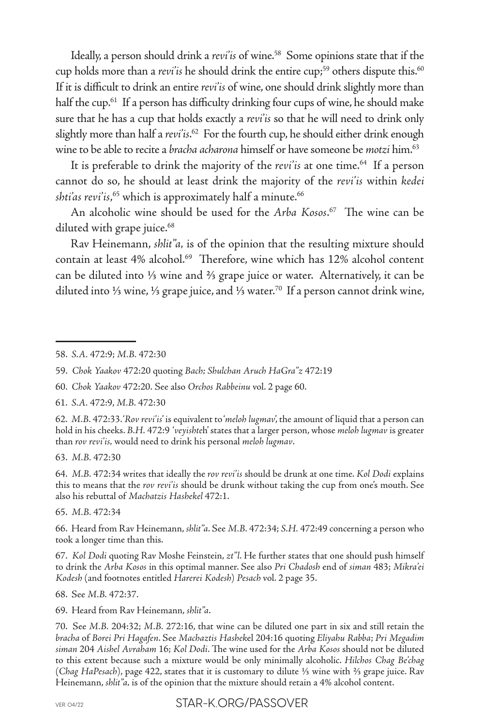Ideally, a person should drink a *revi'is* of wine.<sup>58</sup> Some opinions state that if the cup holds more than a *revi'is* he should drink the entire cup;<sup>59</sup> others dispute this.<sup>60</sup> If it is difficult to drink an entire *revi'is* of wine, one should drink slightly more than half the cup.<sup>61</sup> If a person has difficulty drinking four cups of wine, he should make sure that he has a cup that holds exactly a *revi'is* so that he will need to drink only slightly more than half a *revi'is*. 62 For the fourth cup, he should either drink enough wine to be able to recite a *bracha acharona* himself or have someone be *motzi* him.63

It is preferable to drink the majority of the *revi'is* at one time.<sup>64</sup> If a person cannot do so, he should at least drink the majority of the *revi'is* within *kedei shti'as revi'is*, 65 which is approximately half a minute.66

An alcoholic wine should be used for the *Arba Kosos*. 67 The wine can be diluted with grape juice.<sup>68</sup>

Rav Heinemann, *shlit"a,* is of the opinion that the resulting mixture should contain at least 4% alcohol.<sup>69</sup> Therefore, wine which has 12% alcohol content can be diluted into ⅓ wine and ⅔ grape juice or water. Alternatively, it can be diluted into ⅓ wine, ⅓ grape juice, and ⅓ water.70 If a person cannot drink wine,

61. *S.A.* 472:9, *M.B.* 472:30

63. *M.B.* 472:30

64. *M.B.* 472:34 writes that ideally the *rov revi'is* should be drunk at one time. *Kol Dodi* explains this to means that the *rov revi'is* should be drunk without taking the cup from one's mouth. See also his rebuttal of *Machatzis Hashekel* 472:1.

65. *M.B.* 472:34

66. Heard from Rav Heinemann, *shlit"a*. See *M.B.* 472:34; *S.H.* 472:49 concerning a person who took a longer time than this.

67. *Kol Dodi* quoting Rav Moshe Feinstein, *zt"l*. He further states that one should push himself to drink the *Arba Kosos* in this optimal manner. See also *Pri Chadosh* end of *siman* 483; *Mikra'ei Kodesh* (and footnotes entitled *Harerei Kodesh*) *Pesach* vol. 2 page 35.

68. See *M.B.* 472:37.

69. Heard from Rav Heinemann, *shlit"a*.

70. See *M.B.* 204:32; *M.B.* 272:16, that wine can be diluted one part in six and still retain the *bracha* of *Borei Pri Hagafen*. See *Machaztis Hashek*el 204:16 quoting *Eliyahu Rabba*; *Pri Megadim siman* 204 *Aishel Avraham* 16; *Kol Dodi*. The wine used for the *Arba Kosos* should not be diluted to this extent because such a mixture would be only minimally alcoholic. *Hilchos Chag Be'chag* (*Chag HaPesach*), page 422, states that it is customary to dilute ⅓ wine with ⅔ grape juice. Rav Heinemann, *shlit"a,* is of the opinion that the mixture should retain a 4% alcohol content.

VER. 04/22 STAR-K ORG/PASSOVER

<sup>58.</sup> *S.A.* 472:9; *M.B.* 472:30

<sup>59.</sup> *Chok Yaakov* 472:20 quoting *Bach; Shulchan Aruch HaGra"z* 472:19

<sup>60.</sup> *Chok Yaakov* 472:20. See also *Orchos Rabbeinu* vol. 2 page 60.

<sup>62.</sup> *M.B.* 472:33. '*Rov revi'is*' is equivalent to '*meloh lugmav*', the amount of liquid that a person can hold in his cheeks. *B.H.* 472:9 '*veyishte*h' states that a larger person, whose *meloh lugmav* is greater than *rov revi'is,* would need to drink his personal *meloh lugmav*.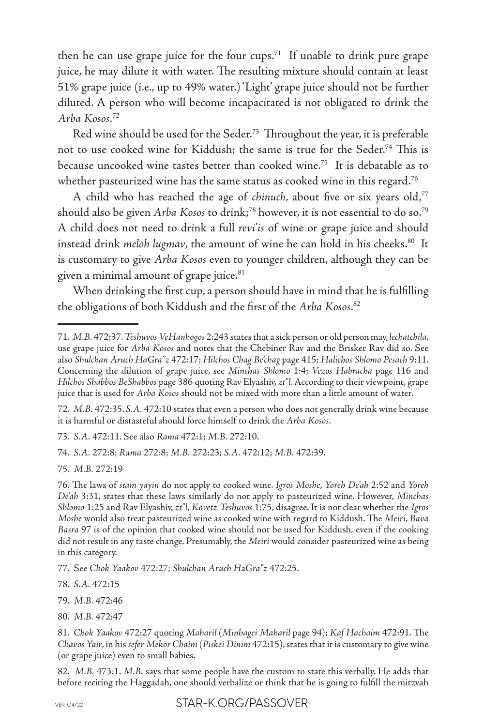then he can use grape juice for the four cups.<sup>71</sup> If unable to drink pure grape juice, he may dilute it with water. The resulting mixture should contain at least 51% grape juice (i.e., up to 49% water.) 'Light' grape juice should not be further diluted. A person who will become incapacitated is not obligated to drink the *Arba Kosos*. 72

Red wine should be used for the Seder.73 Throughout the year, it is preferable not to use cooked wine for Kiddush; the same is true for the Seder.74 This is because uncooked wine tastes better than cooked wine.<sup>75</sup> It is debatable as to whether pasteurized wine has the same status as cooked wine in this regard.<sup>76</sup>

A child who has reached the age of *chinuch*, about five or six years old,<sup>77</sup> should also be given *Arba Kosos* to drink;<sup>78</sup> however, it is not essential to do so.<sup>79</sup> A child does not need to drink a full *revi'is* of wine or grape juice and should instead drink *meloh lugmav*, the amount of wine he can hold in his cheeks.<sup>80</sup> It is customary to give *Arba Kosos* even to younger children, although they can be given a minimal amount of grape juice.<sup>81</sup>

When drinking the first cup, a person should have in mind that he is fulfilling the obligations of both Kiddush and the first of the *Arba Kosos*. 82

73. *S.A.* 472:11. See also *Rama* 472:1; *M.B.* 272:10.

74. *S.A.* 272:8; *Rama* 272:8; *M.B.* 272:23; *S.A.* 472:12; *M.B.* 472:39.

75. *M.B.* 272:19

82. *M.B.* 473:1. *M.B.* says that some people have the custom to state this verbally. He adds that before reciting the Haggadah, one should verbalize or think that he is going to fulfill the mitzvah

<sup>71.</sup> *M.B.* 472:37. *Teshuvos VeHanhogos* 2:243 states that a sick person or old person may, *lechatchila*, use grape juice for *Arba Kosos* and notes that the Chebiner Rav and the Brisker Rav did so. See also *Shulchan Aruch HaGra"z* 472:17; *Hilchos Chag Be'chag* page 415; *Halichos Shlomo Pesach* 9:11. Concerning the dilution of grape juice, see *Minchas Shlomo* 1:4; *Vezos Habracha* page 116 and *Hilchos Shabbos BeShabbos* page 386 quoting Rav Elyashiv, *zt"l*. According to their viewpoint, grape juice that is used for *Arba Kosos* should not be mixed with more than a little amount of water.

<sup>72.</sup> *M.B.* 472:35. *S.A.* 472:10 states that even a person who does not generally drink wine because it is harmful or distasteful should force himself to drink the *Arba Kosos*.

<sup>76.</sup> The laws of *stam yayin* do not apply to cooked wine. *Igros Moshe*, *Yoreh De'ah* 2:52 and *Yoreh De'ah* 3:31, states that these laws similarly do not apply to pasteurized wine. However, *Minchas Shlomo* 1:25 and Rav Elyashiv, *zt"l*, *Kovetz Teshuvos* 1:75, disagree. It is not clear whether the *Igros Moshe* would also treat pasteurized wine as cooked wine with regard to Kiddush. The *Meiri*, *Bava Basra* 97 is of the opinion that cooked wine should not be used for Kiddush*,* even if the cooking did not result in any taste change. Presumably, the *Meiri* would consider pasteurized wine as being in this category.

<sup>77.</sup> See *Chok Yaakov* 472:27; *Shulchan Aruch H*a*Gra"z* 472:25.

<sup>78.</sup> *S.A.* 472:15

<sup>79.</sup> *M.B.* 472:46

<sup>80.</sup> *M.B.* 472:47

<sup>81.</sup> *Chok Yaakov* 472:27 quoting *Maharil* (*Minhagei Maharil* page 94); *Kaf Hachaim* 472:91. The *Chavos Yair*, in his *sefer Mekor Chaim* (*Piskei Dinim* 472:15), states that it is customary to give wine (or grape juice) even to small babies.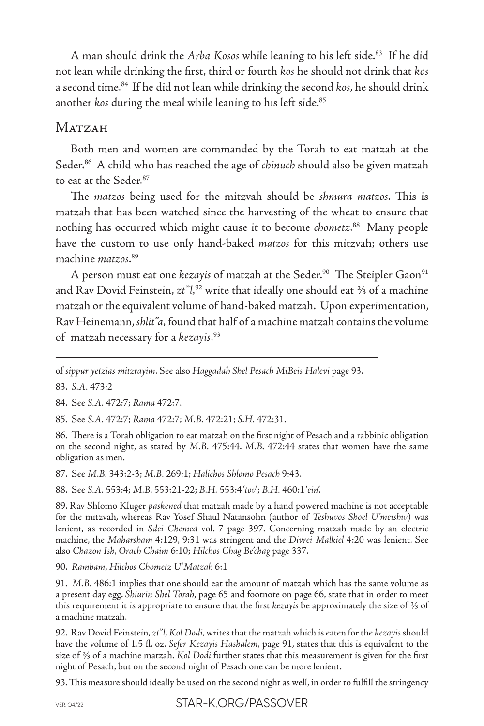A man should drink the *Arba Kosos* while leaning to his left side.<sup>83</sup> If he did not lean while drinking the first, third or fourth *kos* he should not drink that *kos* a second time.84 If he did not lean while drinking the second *kos*, he should drink another *kos* during the meal while leaning to his left side.<sup>85</sup>

# **M**atzah

Both men and women are commanded by the Torah to eat matzah at the Seder.86 A child who has reached the age of *chinuch* should also be given matzah to eat at the Seder.87

The *matzos* being used for the mitzvah should be *shmura matzos*. This is matzah that has been watched since the harvesting of the wheat to ensure that nothing has occurred which might cause it to become *chometz*. 88 Many people have the custom to use only hand-baked *matzos* for this mitzvah; others use machine *matzos*. 89

A person must eat one *kezayis* of matzah at the Seder.<sup>90</sup> The Steipler Gaon<sup>91</sup> and Rav Dovid Feinstein, *zt"l,*92 write that ideally one should eat ⅔ of a machine matzah or the equivalent volume of hand-baked matzah. Upon experimentation, Rav Heinemann, *shlit"a,* found that half of a machine matzah contains the volume of matzah necessary for a *kezayis*. 93

of *sippur yetzias mitzrayim*. See also *Haggadah Shel Pesach MiBeis Halevi* page 93.

83. *S.A.* 473:2

84. See *S.A.* 472:7; *Rama* 472:7.

85. See *S.A.* 472:7; *Rama* 472:7; *M.B.* 472:21; *S.H.* 472:31.

86. There is a Torah obligation to eat matzah on the first night of Pesach and a rabbinic obligation on the second night, as stated by *M.B.* 475:44. *M.B*. 472:44 states that women have the same obligation as men.

87. See *M.B.* 343:2-3; *M.B.* 269:1; *Halichos Shlomo Pesach* 9:43.

88. See *S.A.* 553:4; *M.B*. 553:21-22; *B.H.* 553:4 '*tov*'; *B.H.* 460:1 '*ein*'.

89. Rav Shlomo Kluger *paskened* that matzah made by a hand powered machine is not acceptable for the mitzvah, whereas Rav Yosef Shaul Natansohn (author of *Teshuvos Shoel U'meishiv*) was lenient, as recorded in *Sdei Chemed* vol. 7 page 397. Concerning matzah made by an electric machine, the *Maharsham* 4:129, 9:31 was stringent and the *Divrei Malkiel* 4:20 was lenient. See also *Chazon Ish*, *Orach Chaim* 6:10; *Hilchos Chag Be'chag* page 337.

90. *Rambam*, *Hilchos Chometz U'Matzah* 6:1

91. *M.B.* 486:1 implies that one should eat the amount of matzah which has the same volume as a present day egg. *Shiurin Shel Torah*, page 65 and footnote on page 66, state that in order to meet this requirement it is appropriate to ensure that the first *kezayis* be approximately the size of ⅔ of a machine matzah.

92. Rav Dovid Feinstein, *zt"l*, *Kol Dodi*, writes that the matzah which is eaten for the *kezayis* should have the volume of 1.5 fl. oz. *Sefer Kezayis Hashalem*, page 91, states that this is equivalent to the size of ⅔ of a machine matzah. *Kol Dodi* further states that this measurement is given for the first night of Pesach, but on the second night of Pesach one can be more lenient.

93. This measure should ideally be used on the second night as well, in order to fulfill the stringency

VER. 04/22 STAR-K ORG/PASSOVER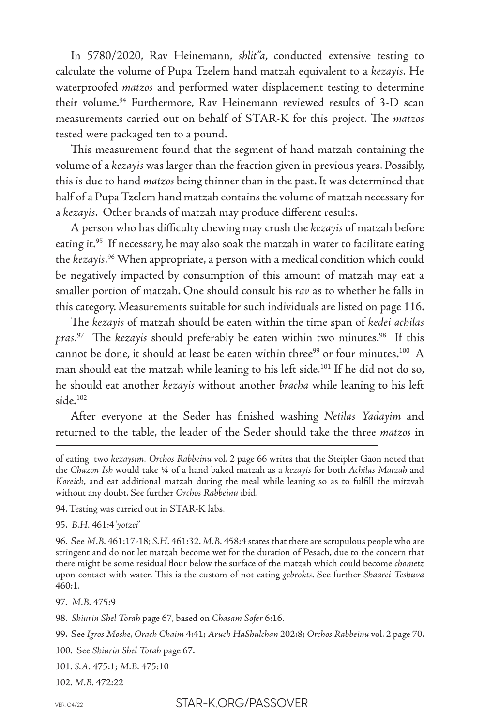In 5780/2020, Rav Heinemann, *shlit"a*, conducted extensive testing to calculate the volume of Pupa Tzelem hand matzah equivalent to a *kezayis.* He waterproofed *matzos* and performed water displacement testing to determine their volume.<sup>94</sup> Furthermore, Rav Heinemann reviewed results of 3-D scan measurements carried out on behalf of STAR-K for this project. The *matzos* tested were packaged ten to a pound.

This measurement found that the segment of hand matzah containing the volume of a *kezayis* was larger than the fraction given in previous years. Possibly, this is due to hand *matzos* being thinner than in the past. It was determined that half of a Pupa Tzelem hand matzah contains the volume of matzah necessary for a *kezayis*. Other brands of matzah may produce different results.

A person who has difficulty chewing may crush the *kezayis* of matzah before eating it.<sup>95</sup> If necessary, he may also soak the matzah in water to facilitate eating the *kezayis*. 96 When appropriate, a person with a medical condition which could be negatively impacted by consumption of this amount of matzah may eat a smaller portion of matzah. One should consult his *rav* as to whether he falls in this category. Measurements suitable for such individuals are listed on page 116.

The *kezayis* of matzah should be eaten within the time span of *kedei achilas pras*. 97 The *kezayis* should preferably be eaten within two minutes.98 If this cannot be done, it should at least be eaten within three<sup>99</sup> or four minutes.<sup>100</sup> A man should eat the matzah while leaning to his left side.101 If he did not do so, he should eat another *kezayis* without another *bracha* while leaning to his left side.102

After everyone at the Seder has finished washing *Netilas Yadayim* and returned to the table, the leader of the Seder should take the three *matzos* in

94. Testing was carried out in STAR-K labs.

95. *B.H.* 461:4 '*yotzei'*

96. See *M.B.* 461:17-18; *S.H.* 461:32. *M.B.* 458:4 states that there are scrupulous people who are stringent and do not let matzah become wet for the duration of Pesach, due to the concern that there might be some residual flour below the surface of the matzah which could become *chometz* upon contact with water. This is the custom of not eating *gebrokts*. See further *Shaarei Teshuva* 460:1.

97. *M.B.* 475:9

98. *Shiurin Shel Torah* page 67, based on *Chasam Sofer* 6:16.

99. See *Igros Moshe*, *Orach Chaim* 4:41; *Aruch HaShulchan* 202:8; *Orchos Rabbeinu* vol. 2 page 70.

100. See *Shiurin Shel Torah* page 67.

101. *S.A.* 475:1; *M.B.* 475:10

102. *M.B.* 472:22

of eating two *kezaysim. Orchos Rabbeinu* vol. 2 page 66 writes that the Steipler Gaon noted that the *Chazon Ish* would take ¼ of a hand baked matzah as a *kezayis* for both *Achilas Matzah* and *Koreich*, and eat additional matzah during the meal while leaning so as to fulfill the mitzvah without any doubt. See further *Orchos Rabbeinu* ibid.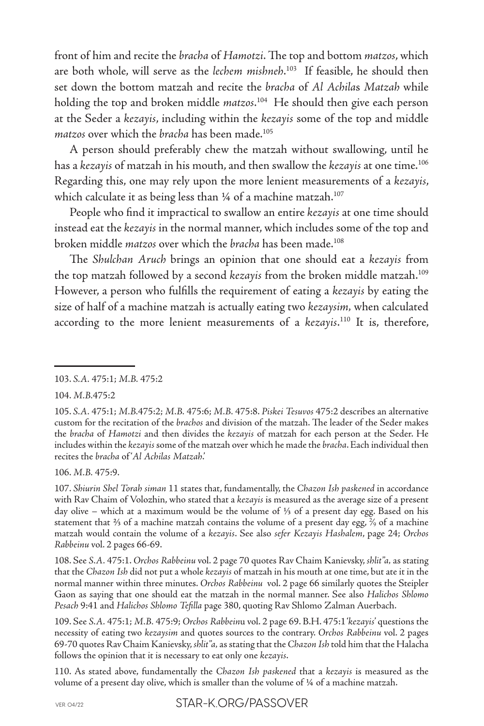front of him and recite the *bracha* of *Hamotzi*. The top and bottom *matzos*, which are both whole, will serve as the *lechem mishneh*. 103 If feasible, he should then set down the bottom matzah and recite the *bracha* of *Al Achila*s *Matzah* while holding the top and broken middle *matzos*. 104 He should then give each person at the Seder a *kezayis*, including within the *kezayis* some of the top and middle *matzos* over which the *bracha* has been made.105

A person should preferably chew the matzah without swallowing, until he has a *kezayis* of matzah in his mouth, and then swallow the *kezayis* at one time.106 Regarding this, one may rely upon the more lenient measurements of a *kezayis*, which calculate it as being less than 1/4 of a machine matzah.<sup>107</sup>

People who find it impractical to swallow an entire *kezayis* at one time should instead eat the *kezayis* in the normal manner, which includes some of the top and broken middle *matzos* over which the *bracha* has been made.108

The *Shulchan Aruch* brings an opinion that one should eat a *kezayis* from the top matzah followed by a second *kezayis* from the broken middle matzah.109 However, a person who fulfills the requirement of eating a *kezayis* by eating the size of half of a machine matzah is actually eating two *kezaysim,* when calculated according to the more lenient measurements of a *kezayis*. 110 It is, therefore,

106. *M.B.* 475:9.

107. *Shiurin Shel Torah siman* 11 states that, fundamentally, the *Chazon Ish paskened* in accordance with Rav Chaim of Volozhin, who stated that a *kezayis* is measured as the average size of a present day olive – which at a maximum would be the volume of ⅓ of a present day egg. Based on his statement that ⅔ of a machine matzah contains the volume of a present day egg, 2 ∕9 of a machine matzah would contain the volume of a *kezayis*. See also *sefer Kezayis Hashalem*, page 24; *Orchos Rabbeinu* vol. 2 pages 66-69.

108. See *S.A.* 475:1. *Orchos Rabbeinu* vol. 2 page 70 quotes Rav Chaim Kanievsky, *shlit"a,* as stating that the *Chazon Ish* did not put a whole *kezayis* of matzah in his mouth at one time, but ate it in the normal manner within three minutes. *Orchos Rabbeinu* vol. 2 page 66 similarly quotes the Steipler Gaon as saying that one should eat the matzah in the normal manner. See also *Halichos Shlomo Pesach* 9:41 and *Halichos Shlomo Tefilla* page 380, quoting Rav Shlomo Zalman Auerbach.

109. See *S.A.* 475:1; *M.B.* 475:9; *Orchos Rabbein*u vol. 2 page 69. B.H. 475:1 '*kezayis*' questions the necessity of eating two *kezaysim* and quotes sources to the contrary. *Orchos Rabbeinu* vol. 2 pages 69-70 quotes Rav Chaim Kanievsky, *shlit"a,* as stating that the *Chazon Ish* told him that the Halacha follows the opinion that it is necessary to eat only one *kezayis*.

110. As stated above, fundamentally the *Chazon Ish paskened* that a *kezayis* is measured as the volume of a present day olive, which is smaller than the volume of ¼ of a machine matzah.

<sup>103.</sup> *S.A.* 475:1; *M.B.* 475:2

<sup>104.</sup> *M.B.*475:2

<sup>105.</sup> *S.A.* 475:1; *M.B.*475:2; *M.B.* 475:6; *M.B.* 475:8. *Piskei Tesuvos* 475:2 describes an alternative custom for the recitation of the *brachos* and division of the matzah. The leader of the Seder makes the *bracha* of *Hamotzi* and then divides the *kezayis* of matzah for each person at the Seder. He includes within the *kezayis* some of the matzah over which he made the *bracha*. Each individual then recites the *bracha* of '*Al Achilas Matzah*.'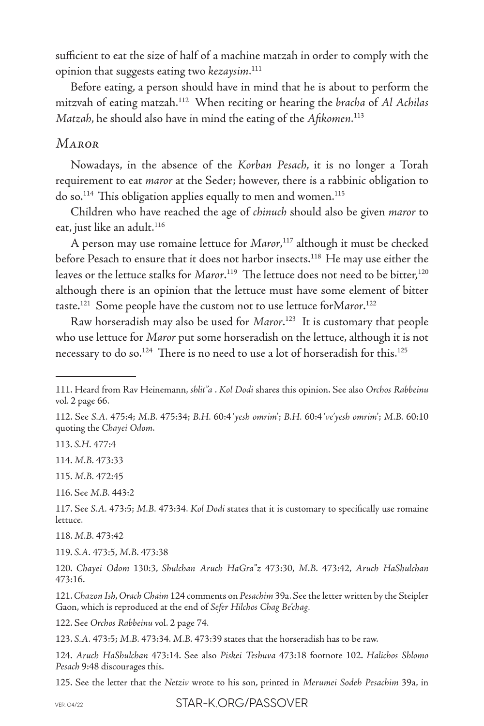sufficient to eat the size of half of a machine matzah in order to comply with the opinion that suggests eating two *kezaysim*. 111

Before eating, a person should have in mind that he is about to perform the mitzvah of eating matzah.112 When reciting or hearing the *bracha* of *Al Achilas Matzah*, he should also have in mind the eating of the *Afikomen*. 113

#### *Maror*

Nowadays, in the absence of the *Korban Pesach*, it is no longer a Torah requirement to eat *maror* at the Seder; however, there is a rabbinic obligation to do so.<sup>114</sup> This obligation applies equally to men and women.<sup>115</sup>

Children who have reached the age of *chinuch* should also be given *maror* to eat, just like an adult.<sup>116</sup>

A person may use romaine lettuce for *Maror*, 117 although it must be checked before Pesach to ensure that it does not harbor insects.<sup>118</sup> He may use either the leaves or the lettuce stalks for *Maror*.<sup>119</sup> The lettuce does not need to be bitter,<sup>120</sup> although there is an opinion that the lettuce must have some element of bitter taste.121 Some people have the custom not to use lettuce forM*aror*. 122

Raw horseradish may also be used for *Maror*. 123 It is customary that people who use lettuce for *Maror* put some horseradish on the lettuce, although it is not necessary to do so.<sup>124</sup> There is no need to use a lot of horseradish for this.<sup>125</sup>

113. *S.H.* 477:4

114. *M.B.* 473:33

115. *M.B.* 472:45

116. See *M.B.* 443:2

117. See *S.A.* 473:5; *M.B.* 473:34. *Kol Dodi* states that it is customary to specifically use romaine lettuce.

118. *M.B.* 473:42

119. *S.A.* 473:5, *M.B.* 473:38

120. *Chayei Odom* 130:3, *Shulchan Aruch HaGra"z* 473:30, *M.B.* 473:42, *Aruch HaShulchan* 473:16.

121. *Chazon Ish*, *Orach Chaim* 124 comments on *Pesachim* 39a. See the letter written by the Steipler Gaon, which is reproduced at the end of *Sefer Hilchos Chag Be'chag*.

122. See *Orchos Rabbeinu* vol. 2 page 74.

123. *S.A.* 473:5; *M.B.* 473:34. *M.B.* 473:39 states that the horseradish has to be raw.

124. *Aruch HaShulchan* 473:14. See also *Piskei Teshuva* 473:18 footnote 102. *Halichos Shlomo Pesach* 9:48 discourages this.

125. See the letter that the *Netziv* wrote to his son, printed in *Merumei Sodeh Pesachim* 39a, in

VER. 04/22 STAR-K ORG/PASSOVER

<sup>111.</sup> Heard from Rav Heinemann, *shlit"a* . *Kol Dodi* shares this opinion. See also *Orchos Rabbeinu* vol. 2 page 66.

<sup>112.</sup> See *S.A.* 475:4; *M.B.* 475:34; *B.H.* 60:4 '*yesh omrim*'; *B.H.* 60:4 '*ve'yesh omrim*'; *M.B.* 60:10 quoting the *Chayei Odom*.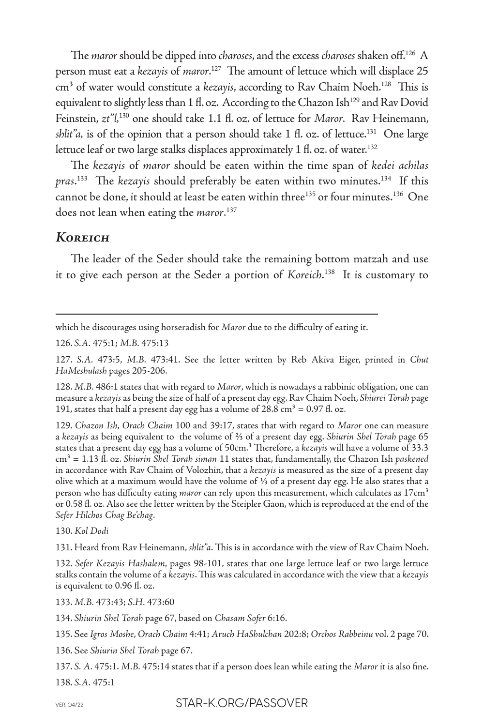The *maror* should be dipped into *charoses*, and the excess *charoses* shaken off.126 A person must eat a *kezayis* of *maror*. 127 The amount of lettuce which will displace 25 cm<sup>3</sup> of water would constitute a *kezayis*, according to Rav Chaim Noeh.<sup>128</sup> This is equivalent to slightly less than  $1 \text{ fl. oz.}$  According to the Chazon Ish<sup>129</sup> and Rav Dovid Feinstein, *zt"l,*130 one should take 1.1 fl. oz. of lettuce for *Maror*. Rav Heinemann, *shlit"a*, is of the opinion that a person should take 1 fl. oz. of lettuce.<sup>131</sup> One large lettuce leaf or two large stalks displaces approximately 1 fl. oz. of water.<sup>132</sup>

The *kezayis* of *maror* should be eaten within the time span of *kedei achilas pras*. 133 The *kezayis* should preferably be eaten within two minutes.134 If this cannot be done, it should at least be eaten within three<sup>135</sup> or four minutes.<sup>136</sup> One does not lean when eating the *maror*. 137

## *Koreich*

The leader of the Seder should take the remaining bottom matzah and use it to give each person at the Seder a portion of *Koreich*. 138 It is customary to

which he discourages using horseradish for *Maror* due to the difficulty of eating it.

126. *S.A.* 475:1; *M.B.* 475:13

127. *S.A.* 473:5, *M.B.* 473:41. See the letter written by Reb Akiva Eiger, printed in *Chut HaMeshulash* pages 205-206.

128. *M.B.* 486:1 states that with regard to *Maror*, which is nowadays a rabbinic obligation, one can measure a *kezayis* as being the size of half of a present day egg. Rav Chaim Noeh, *Shiurei Torah* page 191, states that half a present day egg has a volume of  $28.8 \text{ cm}^3 = 0.97 \text{ fl. oz.}$ 

129. *Chazon Ish*, *Orach Chaim* 100 and 39:17, states that with regard to *Maror* one can measure a *kezayis* as being equivalent to the volume of ⅔ of a present day egg. *Shiurin Shel Torah* page 65 states that a present day egg has a volume of 50cm.³ Therefore, a *kezayis* will have a volume of 33.3 cm³ = 1.13 fl. oz. *Shiurin Shel Torah siman* 11 states that, fundamentally, the Chazon Ish *paskened* in accordance with Rav Chaim of Volozhin, that a *kezayis* is measured as the size of a present day olive which at a maximum would have the volume of ⅓ of a present day egg. He also states that a person who has difficulty eating *maror* can rely upon this measurement, which calculates as 17cm<sup>3</sup> or 0.58 fl. oz. Also see the letter written by the Steipler Gaon, which is reproduced at the end of the *Sefer Hilchos Chag Be'chag*.

130. *Kol Dodi*

131. Heard from Rav Heinemann, *shlit"a*. This is in accordance with the view of Rav Chaim Noeh.

132. *Sefer Kezayis Hashalem*, pages 98-101, states that one large lettuce leaf or two large lettuce stalks contain the volume of a *kezayis*. This was calculated in accordance with the view that a *kezayis* is equivalent to 0.96 fl. oz.

133. *M.B.* 473:43; *S.H.* 473:60

134. *Shiurin Shel Torah* page 67, based on *Chasam Sofer* 6:16.

135. See *Igros Moshe*, *Orach Chaim* 4:41; *Aruch HaShulchan* 202:8; *Orchos Rabbeinu* vol. 2 page 70.

136. See *Shiurin Shel Torah* page 67.

137. *S. A.* 475:1. *M.B.* 475:14 states that if a person does lean while eating the *Maror* it is also fine. 138. *S.A.* 475:1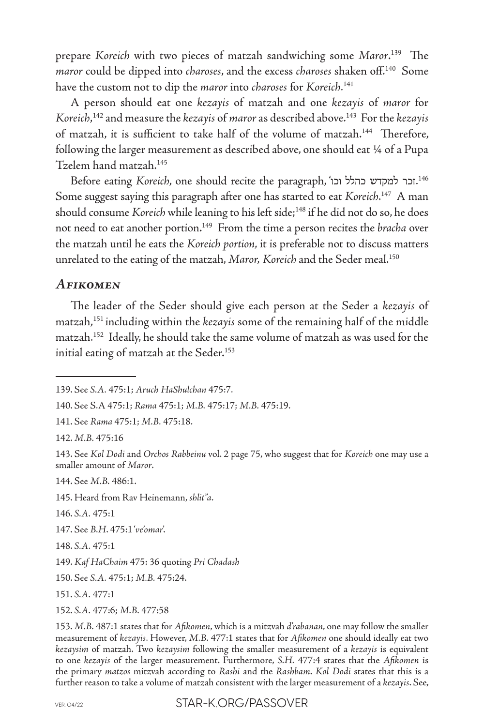prepare *Koreich* with two pieces of matzah sandwiching some *Maror*. 139 The *maror* could be dipped into *charoses*, and the excess *charoses* shaken off.140 Some have the custom not to dip the *maror* into *charoses* for *Koreich*. 141

A person should eat one *kezayis* of matzah and one *kezayis* of *maror* for *Koreich*, 142 and measure the *kezayis* of *maror* as described above.143 For the *kezayis* of matzah, it is sufficient to take half of the volume of matzah.<sup>144</sup> Therefore, following the larger measurement as described above, one should eat 1/4 of a Pupa Tzelem hand matzah.145

Before eating *Koreich,* one should recite the paragraph, 'וכר למקדש כהלל וכו.<sup>146</sup> Some suggest saying this paragraph after one has started to eat *Koreich*. 147 A man should consume *Koreich* while leaning to his left side;<sup>148</sup> if he did not do so, he does not need to eat another portion.149 From the time a person recites the *bracha* over the matzah until he eats the *Koreich portion*, it is preferable not to discuss matters unrelated to the eating of the matzah, *Maror, Koreich* and the Seder meal.150

## *Afikomen*

The leader of the Seder should give each person at the Seder a *kezayis* of matzah,151 including within the *kezayis* some of the remaining half of the middle matzah.152 Ideally, he should take the same volume of matzah as was used for the initial eating of matzah at the Seder.<sup>153</sup>

142. *M.B.* 475:16

144. See *M.B.* 486:1.

145. Heard from Rav Heinemann, *shlit"a*.

146. *S.A.* 475:1

147. See *B.H*. 475:1 '*ve'omar*'.

148. *S.A.* 475:1

151. *S.A.* 477:1

152. *S.A.* 477:6; *M.B.* 477:58

<sup>139.</sup> See *S.A.* 475:1; *Aruch HaShulchan* 475:7.

<sup>140.</sup> See S.A 475:1; *Rama* 475:1; *M.B.* 475:17; *M.B.* 475:19.

<sup>141.</sup> See *Rama* 475:1; *M.B.* 475:18.

<sup>143.</sup> See *Kol Dodi* and *Orchos Rabbeinu* vol. 2 page 75, who suggest that for *Koreich* one may use a smaller amount of *Maror*.

<sup>149.</sup> *Kaf HaChaim* 475: 36 quoting *Pri Chadash*

<sup>150.</sup> See *S.A.* 475:1; *M.B.* 475:24.

<sup>153.</sup> *M.B.* 487:1 states that for *Afikomen*, which is a mitzvah *d'rabanan*, one may follow the smaller measurement of *kezayis*. However, *M.B.* 477:1 states that for *Afikomen* one should ideally eat two *kezaysim* of matzah. Two *kezaysim* following the smaller measurement of a *kezayis* is equivalent to one *kezayis* of the larger measurement. Furthermore, *S.H.* 477:4 states that the *Afikomen* is the primary *matzos* mitzvah according to *Rashi* and the *Rashbam*. *Kol Dodi* states that this is a further reason to take a volume of matzah consistent with the larger measurement of a *kezayis*. See,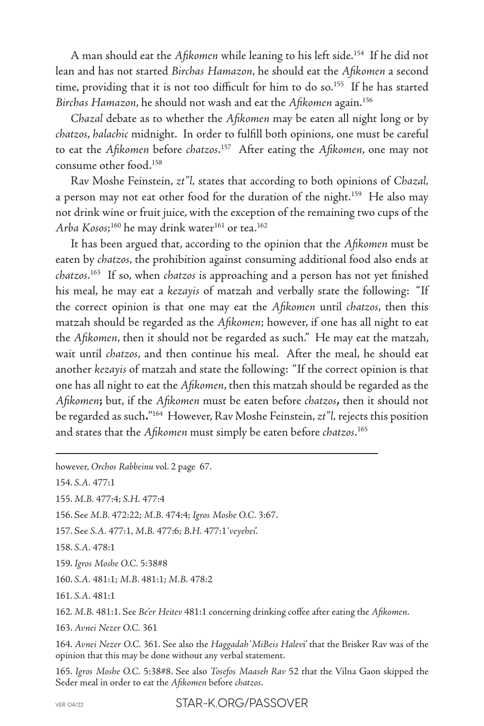A man should eat the *Afikomen* while leaning to his left side.154 If he did not lean and has not started *Birchas Hamazon*, he should eat the *Afikomen* a second time, providing that it is not too difficult for him to do so.<sup>155</sup> If he has started *Birchas Hamazon*, he should not wash and eat the *Afikomen* again.156

*Chazal* debate as to whether the *Afikomen* may be eaten all night long or by *chatzos*, *halachic* midnight. In order to fulfill both opinions, one must be careful to eat the *Afikomen* before *chatzos*. 157 After eating the *Afikomen*, one may not consume other food.158

Rav Moshe Feinstein, *zt"l,* states that according to both opinions of *Chazal,* a person may not eat other food for the duration of the night.<sup>159</sup> He also may not drink wine or fruit juice, with the exception of the remaining two cups of the *Arba Kosos*; 160 he may drink water161 or tea.162

It has been argued that, according to the opinion that the *Afikomen* must be eaten by *chatzos*, the prohibition against consuming additional food also ends at *chatzos*. 163 If so, when *chatzos* is approaching and a person has not yet finished his meal, he may eat a *kezayis* of matzah and verbally state the following: "If the correct opinion is that one may eat the *Afikomen* until *chatzos*, then this matzah should be regarded as the *Afikomen*; however, if one has all night to eat the *Afikomen*, then it should not be regarded as such." He may eat the matzah, wait until *chatzos*, and then continue his meal. After the meal, he should eat another *kezayis* of matzah and state the following: "If the correct opinion is that one has all night to eat the *Afikomen*, then this matzah should be regarded as the *Afikomen***;** but, if the *Afikomen* must be eaten before *chatzos***,** then it should not be regarded as such**.**" 164 However, Rav Moshe Feinstein, *zt"l,* rejects this position and states that the *Afikomen* must simply be eaten before *chatzos*. 165

154. *S.A.* 477:1

155. *M.B.* 477:4; *S.H.* 477:4

156. See *M.B.* 472:22; *M.B.* 474:4; *Igros Moshe O.C.* 3:67.

157. See *S.A.* 477:1, *M.B.* 477:6; *B.H.* 477:1 '*veyehei*'.

158. *S.A.* 478:1

159. *Igros Moshe O.C.* 5:38#8

160. *S.A.* 481:1; *M.B.* 481:1; *M.B.* 478:2

161. *S.A.* 481:1

162. *M.B.* 481:1. See *Be'er Heitev* 481:1 concerning drinking coffee after eating the *Afikomen*.

163. *Avnei Nezer O.C.* 361

164. *Avnei Nezer O.C.* 361. See also the *Haggadah* '*MiBeis Halev*i' that the Brisker Rav was of the opinion that this may be done without any verbal statement.

165. *Igros Moshe O.C.* 5:38#8. See also *Tosefos Maaseh Rav* 52 that the Vilna Gaon skipped the Seder meal in order to eat the *Afikomen* before *chatzos*.

however, *Orchos Rabbeinu* vol. 2 page 67.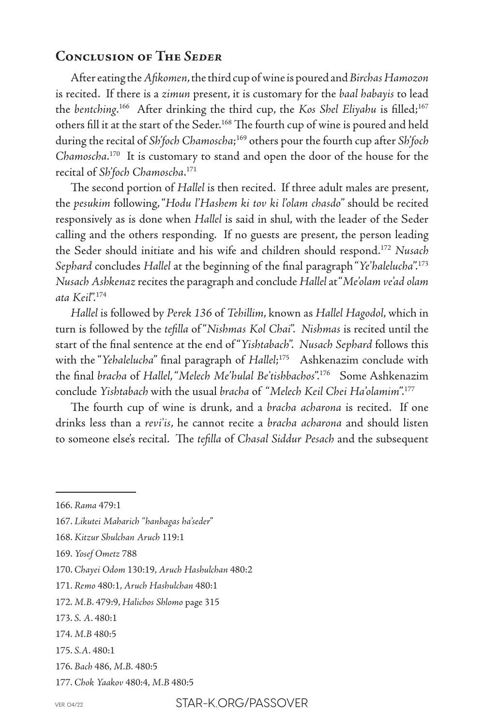#### **Conclusion of The** *Seder*

After eating the *Afikomen*, the third cup of wine is poured and *Birchas Hamozon* is recited. If there is a *zimun* present, it is customary for the *baal habayis* to lead the *bentching*. 166 After drinking the third cup, the *Kos Shel Eliyahu* is filled;167 others fill it at the start of the Seder.168 The fourth cup of wine is poured and held during the recital of *Sh'foch Chamoscha*; 169 others pour the fourth cup after *Sh'foch Chamoscha*. 170 It is customary to stand and open the door of the house for the recital of *Sh'foch Chamoscha*. 171

The second portion of *Hallel* is then recited. If three adult males are present, the *pesukim* following, "*Hodu l'Hashem ki tov ki l'olam chasdo*" should be recited responsively as is done when *Hallel* is said in shul, with the leader of the Seder calling and the others responding. If no guests are present, the person leading the Seder should initiate and his wife and children should respond.172 *Nusach Sephard* concludes *Hallel* at the beginning of the final paragraph "*Ye'halelucha*".173 *Nusach Ashkenaz* recites the paragraph and conclude *Hallel* at "*Me'olam ve'ad olam ata Keil*".174

*Hallel* is followed by *Perek 136* of *Tehillim*, known as *Hallel Hagodol*, which in turn is followed by the *tefilla* of "*Nishmas Kol Chai*". *Nishmas* is recited until the start of the final sentence at the end of "*Yishtabach*". *Nusach Sephard* follows this with the "*Yehalelucha*" final paragraph of *Hallel*; 175 Ashkenazim conclude with the final *bracha* of *Hallel*, "*Melech Me'hulal Be'tishbachos*".176 Some Ashkenazim conclude *Yishtabach* with the usual *bracha* of "*Melech Keil Chei Ha'olamim*".177

The fourth cup of wine is drunk, and a *bracha acharona* is recited. If one drinks less than a *revi'is*, he cannot recite a *bracha acharona* and should listen to someone else's recital. The *tefilla* of *Chasal Siddur Pesach* and the subsequent

<sup>166.</sup> *Rama* 479:1

<sup>167.</sup> *Likutei Maharich "hanhagas ha'seder*"

<sup>168.</sup> *Kitzur Shulchan Aruch* 119:1

<sup>169.</sup> *Yosef Ometz* 788

<sup>170.</sup> *Chayei Odom* 130:19, *Aruch Hashulchan* 480:2

<sup>171.</sup> *Remo* 480:1, *Aruch Hashulchan* 480:1

<sup>172.</sup> *M.B*. 479:9, *Halichos Shlomo* page 315

<sup>173.</sup> *S. A*. 480:1

<sup>174.</sup> *M.B* 480:5

<sup>175.</sup> *S.A*. 480:1

<sup>176.</sup> *Bach* 486, *M.B.* 480:5

<sup>177.</sup> *Chok Yaakov* 480:4, *M.B* 480:5